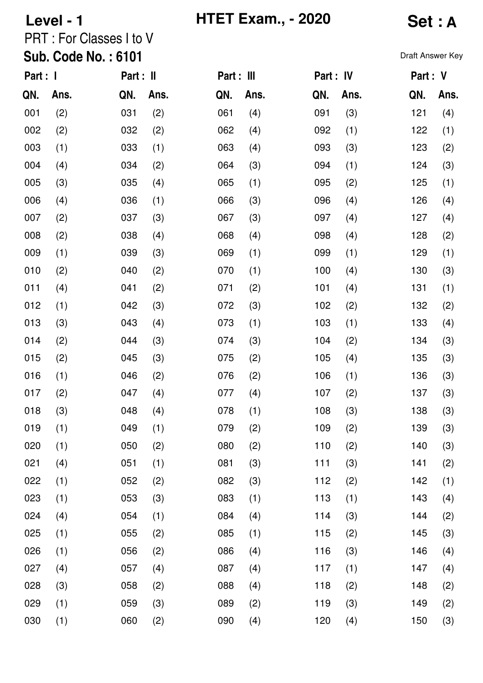# Level - 1 **IFTET Exam., - 2020 Set : A**

## PRT : For Classes I to V

#### Sub. Code No. : 6101

| Part : I |      | Part : II |      | Part : III |      | Part : IV |      | Part : V |      |
|----------|------|-----------|------|------------|------|-----------|------|----------|------|
| QN.      | Ans. | QN.       | Ans. | QN.        | Ans. | QN.       | Ans. | QN.      | Ans. |
| 001      | (2)  | 031       | (2)  | 061        | (4)  | 091       | (3)  | 121      | (4)  |
| 002      | (2)  | 032       | (2)  | 062        | (4)  | 092       | (1)  | 122      | (1)  |
| 003      | (1)  | 033       | (1)  | 063        | (4)  | 093       | (3)  | 123      | (2)  |
| 004      | (4)  | 034       | (2)  | 064        | (3)  | 094       | (1)  | 124      | (3)  |
| 005      | (3)  | 035       | (4)  | 065        | (1)  | 095       | (2)  | 125      | (1)  |
| 006      | (4)  | 036       | (1)  | 066        | (3)  | 096       | (4)  | 126      | (4)  |
| 007      | (2)  | 037       | (3)  | 067        | (3)  | 097       | (4)  | 127      | (4)  |
| 008      | (2)  | 038       | (4)  | 068        | (4)  | 098       | (4)  | 128      | (2)  |
| 009      | (1)  | 039       | (3)  | 069        | (1)  | 099       | (1)  | 129      | (1)  |
| 010      | (2)  | 040       | (2)  | 070        | (1)  | 100       | (4)  | 130      | (3)  |
| 011      | (4)  | 041       | (2)  | 071        | (2)  | 101       | (4)  | 131      | (1)  |
| 012      | (1)  | 042       | (3)  | 072        | (3)  | 102       | (2)  | 132      | (2)  |
| 013      | (3)  | 043       | (4)  | 073        | (1)  | 103       | (1)  | 133      | (4)  |
| 014      | (2)  | 044       | (3)  | 074        | (3)  | 104       | (2)  | 134      | (3)  |
| 015      | (2)  | 045       | (3)  | 075        | (2)  | 105       | (4)  | 135      | (3)  |
| 016      | (1)  | 046       | (2)  | 076        | (2)  | 106       | (1)  | 136      | (3)  |
| 017      | (2)  | 047       | (4)  | 077        | (4)  | 107       | (2)  | 137      | (3)  |
| 018      | (3)  | 048       | (4)  | 078        | (1)  | 108       | (3)  | 138      | (3)  |
| 019      | (1)  | 049       | (1)  | 079        | (2)  | 109       | (2)  | 139      | (3)  |
| 020      | (1)  | 050       | (2)  | 080        | (2)  | 110       | (2)  | 140      | (3)  |
| 021      | (4)  | 051       | (1)  | 081        | (3)  | 111       | (3)  | 141      | (2)  |
| 022      | (1)  | 052       | (2)  | 082        | (3)  | 112       | (2)  | 142      | (1)  |
| 023      | (1)  | 053       | (3)  | 083        | (1)  | 113       | (1)  | 143      | (4)  |
| 024      | (4)  | 054       | (1)  | 084        | (4)  | 114       | (3)  | 144      | (2)  |
| 025      | (1)  | 055       | (2)  | 085        | (1)  | 115       | (2)  | 145      | (3)  |
| 026      | (1)  | 056       | (2)  | 086        | (4)  | 116       | (3)  | 146      | (4)  |
| 027      | (4)  | 057       | (4)  | 087        | (4)  | 117       | (1)  | 147      | (4)  |
| 028      | (3)  | 058       | (2)  | 088        | (4)  | 118       | (2)  | 148      | (2)  |
| 029      | (1)  | 059       | (3)  | 089        | (2)  | 119       | (3)  | 149      | (2)  |
| 030      | (1)  | 060       | (2)  | 090        | (4)  | 120       | (4)  | 150      | (3)  |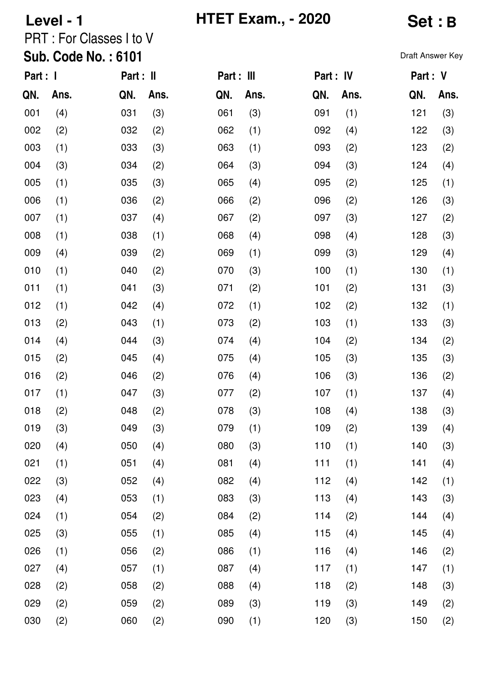# **Level - 1 HTET Exam., - 2020 Set : B**

## PRT : For Classes I to V

#### Sub. Code No. : 6101

| Part : I |      | Part : II |      | Part : III |      | Part : IV |      | Part : V |      |
|----------|------|-----------|------|------------|------|-----------|------|----------|------|
| QN.      | Ans. | QN.       | Ans. | QN.        | Ans. | QN.       | Ans. | QN.      | Ans. |
| 001      | (4)  | 031       | (3)  | 061        | (3)  | 091       | (1)  | 121      | (3)  |
| 002      | (2)  | 032       | (2)  | 062        | (1)  | 092       | (4)  | 122      | (3)  |
| 003      | (1)  | 033       | (3)  | 063        | (1)  | 093       | (2)  | 123      | (2)  |
| 004      | (3)  | 034       | (2)  | 064        | (3)  | 094       | (3)  | 124      | (4)  |
| 005      | (1)  | 035       | (3)  | 065        | (4)  | 095       | (2)  | 125      | (1)  |
| 006      | (1)  | 036       | (2)  | 066        | (2)  | 096       | (2)  | 126      | (3)  |
| 007      | (1)  | 037       | (4)  | 067        | (2)  | 097       | (3)  | 127      | (2)  |
| 008      | (1)  | 038       | (1)  | 068        | (4)  | 098       | (4)  | 128      | (3)  |
| 009      | (4)  | 039       | (2)  | 069        | (1)  | 099       | (3)  | 129      | (4)  |
| 010      | (1)  | 040       | (2)  | 070        | (3)  | 100       | (1)  | 130      | (1)  |
| 011      | (1)  | 041       | (3)  | 071        | (2)  | 101       | (2)  | 131      | (3)  |
| 012      | (1)  | 042       | (4)  | 072        | (1)  | 102       | (2)  | 132      | (1)  |
| 013      | (2)  | 043       | (1)  | 073        | (2)  | 103       | (1)  | 133      | (3)  |
| 014      | (4)  | 044       | (3)  | 074        | (4)  | 104       | (2)  | 134      | (2)  |
| 015      | (2)  | 045       | (4)  | 075        | (4)  | 105       | (3)  | 135      | (3)  |
| 016      | (2)  | 046       | (2)  | 076        | (4)  | 106       | (3)  | 136      | (2)  |
| 017      | (1)  | 047       | (3)  | 077        | (2)  | 107       | (1)  | 137      | (4)  |
| 018      | (2)  | 048       | (2)  | 078        | (3)  | 108       | (4)  | 138      | (3)  |
| 019      | (3)  | 049       | (3)  | 079        | (1)  | 109       | (2)  | 139      | (4)  |
| 020      | (4)  | 050       | (4)  | 080        | (3)  | 110       | (1)  | 140      | (3)  |
| 021      | (1)  | 051       | (4)  | 081        | (4)  | 111       | (1)  | 141      | (4)  |
| 022      | (3)  | 052       | (4)  | 082        | (4)  | 112       | (4)  | 142      | (1)  |
| 023      | (4)  | 053       | (1)  | 083        | (3)  | 113       | (4)  | 143      | (3)  |
| 024      | (1)  | 054       | (2)  | 084        | (2)  | 114       | (2)  | 144      | (4)  |
| 025      | (3)  | 055       | (1)  | 085        | (4)  | 115       | (4)  | 145      | (4)  |
| 026      | (1)  | 056       | (2)  | 086        | (1)  | 116       | (4)  | 146      | (2)  |
| 027      | (4)  | 057       | (1)  | 087        | (4)  | 117       | (1)  | 147      | (1)  |
| 028      | (2)  | 058       | (2)  | 088        | (4)  | 118       | (2)  | 148      | (3)  |
| 029      | (2)  | 059       | (2)  | 089        | (3)  | 119       | (3)  | 149      | (2)  |
| 030      | (2)  | 060       | (2)  | 090        | (1)  | 120       | (3)  | 150      | (2)  |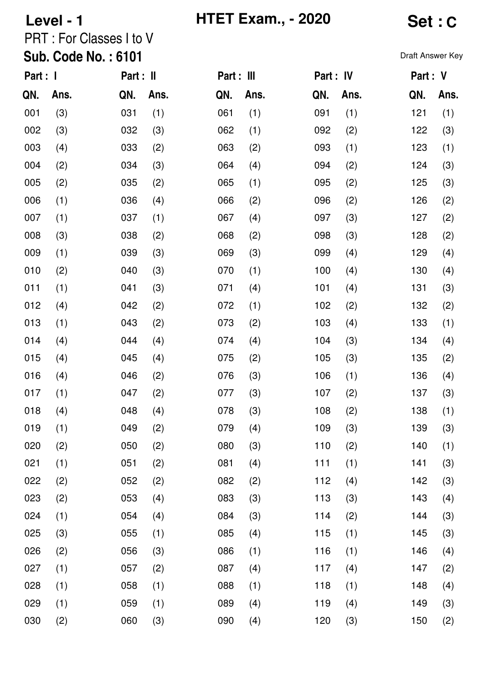# **Level - 1 C HTET Exam., - 2020 Set: C**

## PRT : For Classes I to V

#### Sub. Code No. : 6101

| Part : I |      | Part : II |      | Part : III |      | Part : IV |      | Part : V |      |
|----------|------|-----------|------|------------|------|-----------|------|----------|------|
| QN.      | Ans. | QN.       | Ans. | QN.        | Ans. | QN.       | Ans. | QN.      | Ans. |
| 001      | (3)  | 031       | (1)  | 061        | (1)  | 091       | (1)  | 121      | (1)  |
| 002      | (3)  | 032       | (3)  | 062        | (1)  | 092       | (2)  | 122      | (3)  |
| 003      | (4)  | 033       | (2)  | 063        | (2)  | 093       | (1)  | 123      | (1)  |
| 004      | (2)  | 034       | (3)  | 064        | (4)  | 094       | (2)  | 124      | (3)  |
| 005      | (2)  | 035       | (2)  | 065        | (1)  | 095       | (2)  | 125      | (3)  |
| 006      | (1)  | 036       | (4)  | 066        | (2)  | 096       | (2)  | 126      | (2)  |
| 007      | (1)  | 037       | (1)  | 067        | (4)  | 097       | (3)  | 127      | (2)  |
| 008      | (3)  | 038       | (2)  | 068        | (2)  | 098       | (3)  | 128      | (2)  |
| 009      | (1)  | 039       | (3)  | 069        | (3)  | 099       | (4)  | 129      | (4)  |
| 010      | (2)  | 040       | (3)  | 070        | (1)  | 100       | (4)  | 130      | (4)  |
| 011      | (1)  | 041       | (3)  | 071        | (4)  | 101       | (4)  | 131      | (3)  |
| 012      | (4)  | 042       | (2)  | 072        | (1)  | 102       | (2)  | 132      | (2)  |
| 013      | (1)  | 043       | (2)  | 073        | (2)  | 103       | (4)  | 133      | (1)  |
| 014      | (4)  | 044       | (4)  | 074        | (4)  | 104       | (3)  | 134      | (4)  |
| 015      | (4)  | 045       | (4)  | 075        | (2)  | 105       | (3)  | 135      | (2)  |
| 016      | (4)  | 046       | (2)  | 076        | (3)  | 106       | (1)  | 136      | (4)  |
| 017      | (1)  | 047       | (2)  | 077        | (3)  | 107       | (2)  | 137      | (3)  |
| 018      | (4)  | 048       | (4)  | 078        | (3)  | 108       | (2)  | 138      | (1)  |
| 019      | (1)  | 049       | (2)  | 079        | (4)  | 109       | (3)  | 139      | (3)  |
| 020      | (2)  | 050       | (2)  | 080        | (3)  | 110       | (2)  | 140      | (1)  |
| 021      | (1)  | 051       | (2)  | 081        | (4)  | 111       | (1)  | 141      | (3)  |
| 022      | (2)  | 052       | (2)  | 082        | (2)  | 112       | (4)  | 142      | (3)  |
| 023      | (2)  | 053       | (4)  | 083        | (3)  | 113       | (3)  | 143      | (4)  |
| 024      | (1)  | 054       | (4)  | 084        | (3)  | 114       | (2)  | 144      | (3)  |
| 025      | (3)  | 055       | (1)  | 085        | (4)  | 115       | (1)  | 145      | (3)  |
| 026      | (2)  | 056       | (3)  | 086        | (1)  | 116       | (1)  | 146      | (4)  |
| 027      | (1)  | 057       | (2)  | 087        | (4)  | 117       | (4)  | 147      | (2)  |
| 028      | (1)  | 058       | (1)  | 088        | (1)  | 118       | (1)  | 148      | (4)  |
| 029      | (1)  | 059       | (1)  | 089        | (4)  | 119       | (4)  | 149      | (3)  |
| 030      | (2)  | 060       | (3)  | 090        | (4)  | 120       | (3)  | 150      | (2)  |